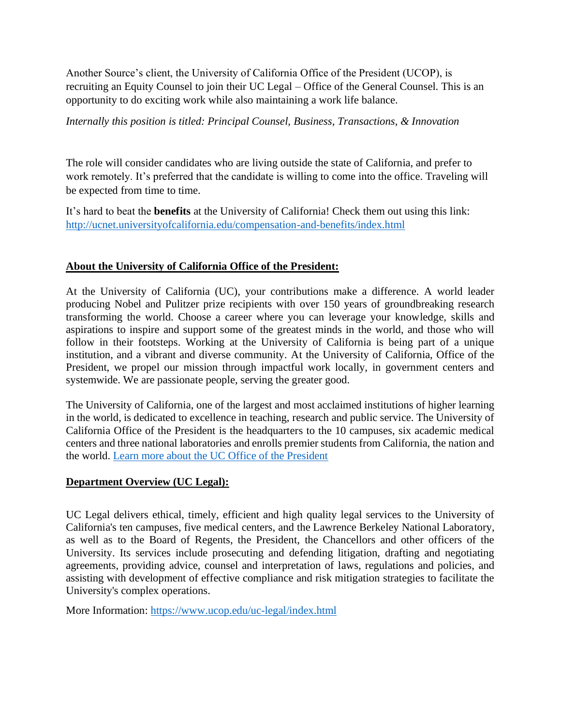Another Source's client, the University of California Office of the President (UCOP), is recruiting an Equity Counsel to join their UC Legal – Office of the General Counsel. This is an opportunity to do exciting work while also maintaining a work life balance.

*Internally this position is titled: Principal Counsel, Business, Transactions, & Innovation*

The role will consider candidates who are living outside the state of California, and prefer to work remotely. It's preferred that the candidate is willing to come into the office. Traveling will be expected from time to time.

It's hard to beat the **benefits** at the University of California! Check them out using this link: <http://ucnet.universityofcalifornia.edu/compensation-and-benefits/index.html>

## **About the University of California Office of the President:**

At the University of California (UC), your contributions make a difference. A world leader producing Nobel and Pulitzer prize recipients with over 150 years of groundbreaking research transforming the world. Choose a career where you can leverage your knowledge, skills and aspirations to inspire and support some of the greatest minds in the world, and those who will follow in their footsteps. Working at the University of California is being part of a unique institution, and a vibrant and diverse community. At the University of California, Office of the President, we propel our mission through impactful work locally, in government centers and systemwide. We are passionate people, serving the greater good.

The University of California, one of the largest and most acclaimed institutions of higher learning in the world, is dedicated to excellence in teaching, research and public service. The University of California Office of the President is the headquarters to the 10 campuses, six academic medical centers and three national laboratories and enrolls premier students from California, the nation and the world. [Learn more about the UC Office of the President](https://www.ucop.edu/about)

## **Department Overview (UC Legal):**

UC Legal delivers ethical, timely, efficient and high quality legal services to the University of California's ten campuses, five medical centers, and the Lawrence Berkeley National Laboratory, as well as to the Board of Regents, the President, the Chancellors and other officers of the University. Its services include prosecuting and defending litigation, drafting and negotiating agreements, providing advice, counsel and interpretation of laws, regulations and policies, and assisting with development of effective compliance and risk mitigation strategies to facilitate the University's complex operations.

More Information:<https://www.ucop.edu/uc-legal/index.html>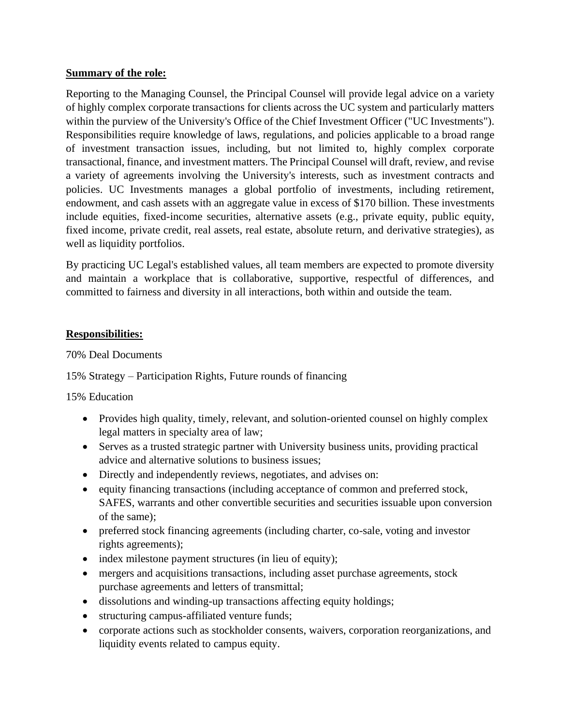### **Summary of the role:**

Reporting to the Managing Counsel, the Principal Counsel will provide legal advice on a variety of highly complex corporate transactions for clients across the UC system and particularly matters within the purview of the University's Office of the Chief Investment Officer ("UC Investments"). Responsibilities require knowledge of laws, regulations, and policies applicable to a broad range of investment transaction issues, including, but not limited to, highly complex corporate transactional, finance, and investment matters. The Principal Counsel will draft, review, and revise a variety of agreements involving the University's interests, such as investment contracts and policies. UC Investments manages a global portfolio of investments, including retirement, endowment, and cash assets with an aggregate value in excess of \$170 billion. These investments include equities, fixed-income securities, alternative assets (e.g., private equity, public equity, fixed income, private credit, real assets, real estate, absolute return, and derivative strategies), as well as liquidity portfolios.

By practicing UC Legal's established values, all team members are expected to promote diversity and maintain a workplace that is collaborative, supportive, respectful of differences, and committed to fairness and diversity in all interactions, both within and outside the team.

## **Responsibilities:**

### 70% Deal Documents

## 15% Strategy – Participation Rights, Future rounds of financing

15% Education

- Provides high quality, timely, relevant, and solution-oriented counsel on highly complex legal matters in specialty area of law;
- Serves as a trusted strategic partner with University business units, providing practical advice and alternative solutions to business issues;
- Directly and independently reviews, negotiates, and advises on:
- equity financing transactions (including acceptance of common and preferred stock, SAFES, warrants and other convertible securities and securities issuable upon conversion of the same);
- preferred stock financing agreements (including charter, co-sale, voting and investor rights agreements);
- index milestone payment structures (in lieu of equity);
- mergers and acquisitions transactions, including asset purchase agreements, stock purchase agreements and letters of transmittal;
- dissolutions and winding-up transactions affecting equity holdings;
- structuring campus-affiliated venture funds;
- corporate actions such as stockholder consents, waivers, corporation reorganizations, and liquidity events related to campus equity.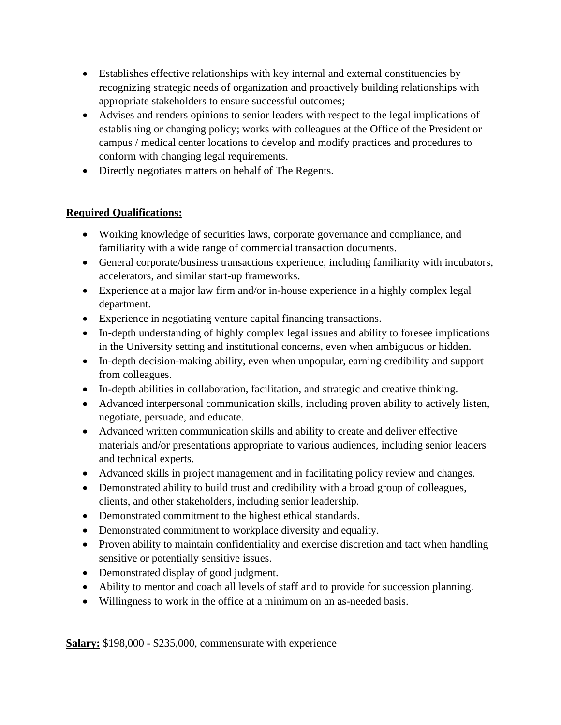- Establishes effective relationships with key internal and external constituencies by recognizing strategic needs of organization and proactively building relationships with appropriate stakeholders to ensure successful outcomes;
- Advises and renders opinions to senior leaders with respect to the legal implications of establishing or changing policy; works with colleagues at the Office of the President or campus / medical center locations to develop and modify practices and procedures to conform with changing legal requirements.
- Directly negotiates matters on behalf of The Regents.

# **Required Qualifications:**

- Working knowledge of securities laws, corporate governance and compliance, and familiarity with a wide range of commercial transaction documents.
- General corporate/business transactions experience, including familiarity with incubators, accelerators, and similar start-up frameworks.
- Experience at a major law firm and/or in-house experience in a highly complex legal department.
- Experience in negotiating venture capital financing transactions.
- In-depth understanding of highly complex legal issues and ability to foresee implications in the University setting and institutional concerns, even when ambiguous or hidden.
- In-depth decision-making ability, even when unpopular, earning credibility and support from colleagues.
- In-depth abilities in collaboration, facilitation, and strategic and creative thinking.
- Advanced interpersonal communication skills, including proven ability to actively listen, negotiate, persuade, and educate.
- Advanced written communication skills and ability to create and deliver effective materials and/or presentations appropriate to various audiences, including senior leaders and technical experts.
- Advanced skills in project management and in facilitating policy review and changes.
- Demonstrated ability to build trust and credibility with a broad group of colleagues, clients, and other stakeholders, including senior leadership.
- Demonstrated commitment to the highest ethical standards.
- Demonstrated commitment to workplace diversity and equality.
- Proven ability to maintain confidentiality and exercise discretion and tact when handling sensitive or potentially sensitive issues.
- Demonstrated display of good judgment.
- Ability to mentor and coach all levels of staff and to provide for succession planning.
- Willingness to work in the office at a minimum on an as-needed basis.

**Salary:** \$198,000 - \$235,000, commensurate with experience